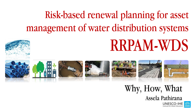#### Risk-based renewal planning for asset management of water distribution systems

# RRPAM-WDS















Why, How, What

Assela Pathirana

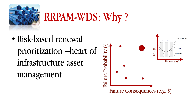

# RRPAM-WDS: Why ?

• Risk-based renewal prioritization –heart of infrastructure asset

management

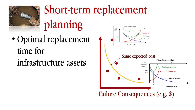

### Short-term replacement

planning

- Optimal replacement time for
	- infrastructure assets

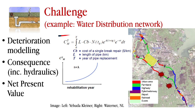

# Challenge

#### (example: Water Distribution network)

- Deterioration modelling
- Consequence (inc. hydraulics)
- Net Present Value



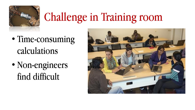

# Challenge in Training room

- Time-consuming calculations
- Non-engineers find difficult

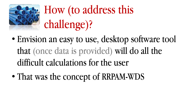

# How (to address this challenge)?

- Envision an easy to use, desktop software tool that (once data is provided) will do all the difficult calculations for the user
- That was the concept of RRPAM-WDS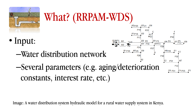

Image: A water distribution system hydraulic model for a rural water supply system in Kenya.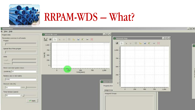

#### RRPAM-WDS – What?

| <b>RRPAMWDS</b>                                                          |                                                                              |                                                                  | $ \Box$ $\times$ |
|--------------------------------------------------------------------------|------------------------------------------------------------------------------|------------------------------------------------------------------|------------------|
| ile View Help                                                            |                                                                              |                                                                  |                  |
| - Project Data                                                           | Whole life cost                                                              | $-0x$                                                            |                  |
| Parameters common to all assets<br>Project                               | <b>VERROBLEGER</b><br>$1,000 -$                                              | Network Map<br>$\blacksquare$                                    | $ \Box$ $\times$ |
| Epanet file of this project-                                             | $750 -$<br>$\mathop{\rm Cost}\nolimits(\mathop{\mathsf{E}}\nolimits)$<br>500 | 1,000                                                            | G                |
| Units<br>Length :<br>Diameter:                                           | $250 -$                                                                      | $750 -$                                                          |                  |
| -Direct cost total system down-<br>$(x1000 \in) 10$                      | $0 -$<br>$\sim$<br>$\sum_{i=1}^{n}$<br>500<br>$\Omega$<br>Time(years)        | $500 -$<br>750<br>1,000                                          |                  |
| Relative size in risk matrix<br>0.001                                    |                                                                              | 250<br>Asset Data                                                | <b>d</b>         |
| Discount rate (%)-<br> 10                                                |                                                                              | $0 -$<br>Property Groi<br>250<br>500<br>$\Omega$<br>Assign to se | 1,000<br>750     |
| Time Horizon (years)<br>$\sqrt{20}$<br>e.<br>$\blacktriangleright$ Apply |                                                                              | - Assigned Groups-                                               |                  |
|                                                                          |                                                                              |                                                                  |                  |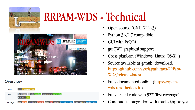

#### RRPAM-WDS - Technical



#### **Overview**



- Open source (GNU GPL v3)
- Python 3.x/2.7 compatible
- GUI with PyQT4
- guiQWT graphical support
- Cross platform (Windows, Linux, OS-X,..)
- Source available at github, download: [https://github.com/asselapathirana/RRPam-](https://github.com/asselapathirana/RRPam-WDS/releases/latest)WDS/releases/latest
- [Fully documented online \(https://rrpam](https://rrpam-wds.readthedocs.io/)wds.readthedocs.io)
- Fully tested code with 92% Test coverage!
- Continuous integration with travis-ci/appveyor